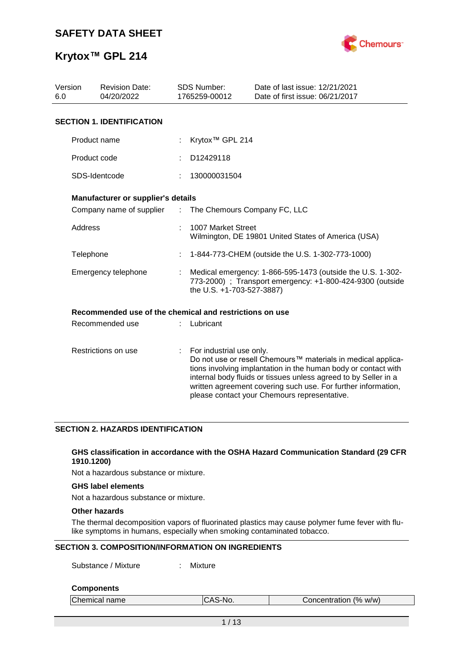

| Version<br>6.0      | <b>Revision Date:</b><br>04/20/2022                     |                           | <b>SDS Number:</b><br>1765259-00012                                                                                                                  | Date of last issue: 12/21/2021<br>Date of first issue: 06/21/2017                                                                                                                                                                                                                                                  |  |  |  |
|---------------------|---------------------------------------------------------|---------------------------|------------------------------------------------------------------------------------------------------------------------------------------------------|--------------------------------------------------------------------------------------------------------------------------------------------------------------------------------------------------------------------------------------------------------------------------------------------------------------------|--|--|--|
|                     | <b>SECTION 1. IDENTIFICATION</b>                        |                           |                                                                                                                                                      |                                                                                                                                                                                                                                                                                                                    |  |  |  |
|                     | Product name                                            |                           | Krytox <sup>™</sup> GPL 214                                                                                                                          |                                                                                                                                                                                                                                                                                                                    |  |  |  |
|                     | Product code                                            |                           | D12429118                                                                                                                                            |                                                                                                                                                                                                                                                                                                                    |  |  |  |
|                     | SDS-Identcode                                           |                           | 130000031504                                                                                                                                         |                                                                                                                                                                                                                                                                                                                    |  |  |  |
|                     | Manufacturer or supplier's details                      |                           |                                                                                                                                                      |                                                                                                                                                                                                                                                                                                                    |  |  |  |
|                     | Company name of supplier                                | $\mathbb{Z}^{\mathbb{Z}}$ | The Chemours Company FC, LLC                                                                                                                         |                                                                                                                                                                                                                                                                                                                    |  |  |  |
| Address             |                                                         |                           | 1007 Market Street                                                                                                                                   | Wilmington, DE 19801 United States of America (USA)                                                                                                                                                                                                                                                                |  |  |  |
| Telephone           |                                                         |                           |                                                                                                                                                      | 1-844-773-CHEM (outside the U.S. 1-302-773-1000)                                                                                                                                                                                                                                                                   |  |  |  |
|                     | Emergency telephone                                     |                           | Medical emergency: 1-866-595-1473 (outside the U.S. 1-302-<br>773-2000) ; Transport emergency: +1-800-424-9300 (outside<br>the U.S. +1-703-527-3887) |                                                                                                                                                                                                                                                                                                                    |  |  |  |
|                     | Recommended use of the chemical and restrictions on use |                           |                                                                                                                                                      |                                                                                                                                                                                                                                                                                                                    |  |  |  |
|                     | Recommended use                                         |                           | Lubricant                                                                                                                                            |                                                                                                                                                                                                                                                                                                                    |  |  |  |
| Restrictions on use |                                                         | ÷                         | For industrial use only.                                                                                                                             | Do not use or resell Chemours™ materials in medical applica-<br>tions involving implantation in the human body or contact with<br>internal body fluids or tissues unless agreed to by Seller in a<br>written agreement covering such use. For further information,<br>please contact your Chemours representative. |  |  |  |

### **SECTION 2. HAZARDS IDENTIFICATION**

### **GHS classification in accordance with the OSHA Hazard Communication Standard (29 CFR 1910.1200)**

Not a hazardous substance or mixture.

### **GHS label elements**

Not a hazardous substance or mixture.

### **Other hazards**

The thermal decomposition vapors of fluorinated plastics may cause polymer fume fever with flulike symptoms in humans, especially when smoking contaminated tobacco.

### **SECTION 3. COMPOSITION/INFORMATION ON INGREDIENTS**

Substance / Mixture : Mixture

#### **Components**

| Chemical name | ICAS-No. | Concentration (% w/w) |  |
|---------------|----------|-----------------------|--|
|               |          |                       |  |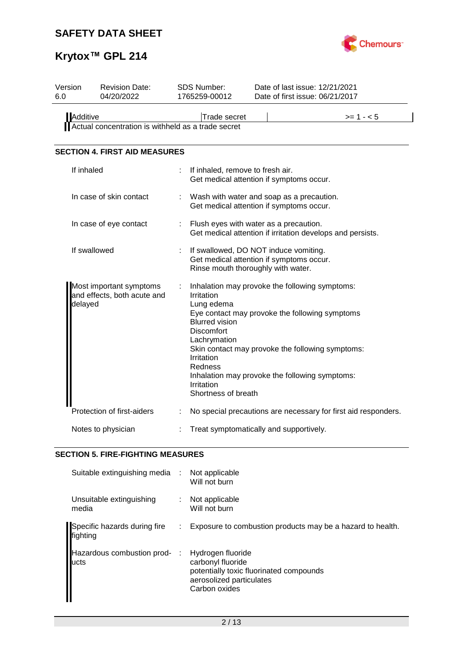

# **Krytox™ GPL 214**

| Version<br>6.0 | <b>Revision Date:</b><br>04/20/2022                    |   | SDS Number:<br>1765259-00012                                                                                                                                |            | Date of last issue: 12/21/2021<br>Date of first issue: 06/21/2017                                                                                                                                      |  |  |  |
|----------------|--------------------------------------------------------|---|-------------------------------------------------------------------------------------------------------------------------------------------------------------|------------|--------------------------------------------------------------------------------------------------------------------------------------------------------------------------------------------------------|--|--|--|
| Additive       | Actual concentration is withheld as a trade secret     |   | Trade secret                                                                                                                                                | $>= 1 - 5$ |                                                                                                                                                                                                        |  |  |  |
|                | <b>SECTION 4. FIRST AID MEASURES</b>                   |   |                                                                                                                                                             |            |                                                                                                                                                                                                        |  |  |  |
| If inhaled     |                                                        |   | If inhaled, remove to fresh air.                                                                                                                            |            | Get medical attention if symptoms occur.                                                                                                                                                               |  |  |  |
|                | In case of skin contact                                |   | Wash with water and soap as a precaution.<br>Get medical attention if symptoms occur.                                                                       |            |                                                                                                                                                                                                        |  |  |  |
|                | In case of eye contact                                 |   |                                                                                                                                                             |            | Flush eyes with water as a precaution.<br>Get medical attention if irritation develops and persists.                                                                                                   |  |  |  |
|                | If swallowed                                           |   | Rinse mouth thoroughly with water.                                                                                                                          |            | If swallowed, DO NOT induce vomiting.<br>Get medical attention if symptoms occur.                                                                                                                      |  |  |  |
| delayed        | Most important symptoms<br>and effects, both acute and | ÷ | Irritation<br>Lung edema<br><b>Blurred vision</b><br><b>Discomfort</b><br>Lachrymation<br>Irritation<br><b>Redness</b><br>Irritation<br>Shortness of breath |            | Inhalation may provoke the following symptoms:<br>Eye contact may provoke the following symptoms<br>Skin contact may provoke the following symptoms:<br>Inhalation may provoke the following symptoms: |  |  |  |
|                | Protection of first-aiders                             |   |                                                                                                                                                             |            | No special precautions are necessary for first aid responders.                                                                                                                                         |  |  |  |
|                | Notes to physician                                     |   |                                                                                                                                                             |            | Treat symptomatically and supportively.                                                                                                                                                                |  |  |  |

## **SECTION 5. FIRE-FIGHTING MEASURES**

| Suitable extinguishing media :           |      | Not applicable<br>Will not burn                                                                                                |
|------------------------------------------|------|--------------------------------------------------------------------------------------------------------------------------------|
| Unsuitable extinguishing<br>media        |      | Not applicable<br>Will not burn                                                                                                |
| Specific hazards during fire<br>fighting | ÷.   | Exposure to combustion products may be a hazard to health.                                                                     |
| Hazardous combustion prod-<br>lucts      | - 11 | Hydrogen fluoride<br>carbonyl fluoride<br>potentially toxic fluorinated compounds<br>aerosolized particulates<br>Carbon oxides |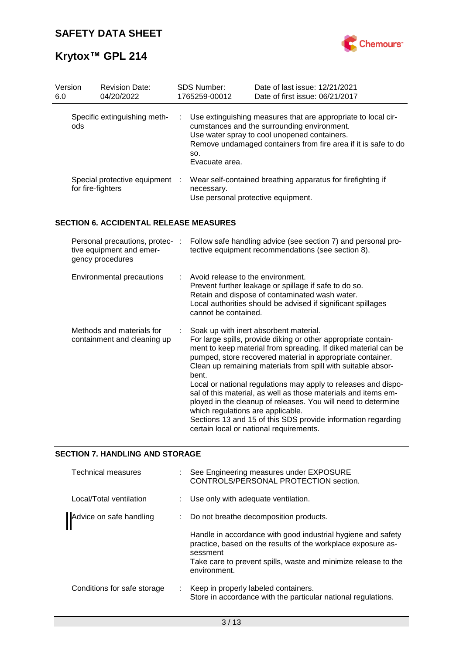

| Version<br>6.0 | <b>Revision Date:</b><br>04/20/2022               |   | <b>SDS Number:</b><br>1765259-00012 | Date of last issue: 12/21/2021<br>Date of first issue: 06/21/2017                                                                                                                                                                |
|----------------|---------------------------------------------------|---|-------------------------------------|----------------------------------------------------------------------------------------------------------------------------------------------------------------------------------------------------------------------------------|
| ods.           | Specific extinguishing meth-                      |   | SO.<br>Evacuate area.               | : Use extinguishing measures that are appropriate to local cir-<br>cumstances and the surrounding environment.<br>Use water spray to cool unopened containers.<br>Remove undamaged containers from fire area if it is safe to do |
|                | Special protective equipment<br>for fire-fighters | ÷ | necessary.                          | Wear self-contained breathing apparatus for firefighting if<br>Use personal protective equipment.                                                                                                                                |

### **SECTION 6. ACCIDENTAL RELEASE MEASURES**

| Personal precautions, protec-:<br>tive equipment and emer-<br>gency procedures | Follow safe handling advice (see section 7) and personal pro-<br>tective equipment recommendations (see section 8).                                                                                                                                                                                                                                                                                                                                                                                                                                                                                                                                                    |
|--------------------------------------------------------------------------------|------------------------------------------------------------------------------------------------------------------------------------------------------------------------------------------------------------------------------------------------------------------------------------------------------------------------------------------------------------------------------------------------------------------------------------------------------------------------------------------------------------------------------------------------------------------------------------------------------------------------------------------------------------------------|
| Environmental precautions                                                      | $\therefore$ Avoid release to the environment.<br>Prevent further leakage or spillage if safe to do so.<br>Retain and dispose of contaminated wash water.<br>Local authorities should be advised if significant spillages<br>cannot be contained.                                                                                                                                                                                                                                                                                                                                                                                                                      |
| Methods and materials for<br>containment and cleaning up                       | Soak up with inert absorbent material.<br>For large spills, provide diking or other appropriate contain-<br>ment to keep material from spreading. If diked material can be<br>pumped, store recovered material in appropriate container.<br>Clean up remaining materials from spill with suitable absor-<br>bent.<br>Local or national regulations may apply to releases and dispo-<br>sal of this material, as well as those materials and items em-<br>ployed in the cleanup of releases. You will need to determine<br>which regulations are applicable.<br>Sections 13 and 15 of this SDS provide information regarding<br>certain local or national requirements. |

### **SECTION 7. HANDLING AND STORAGE**

| <b>Technical measures</b>   |   | : See Engineering measures under EXPOSURE<br>CONTROLS/PERSONAL PROTECTION section.                                                       |
|-----------------------------|---|------------------------------------------------------------------------------------------------------------------------------------------|
| Local/Total ventilation     |   | : Use only with adequate ventilation.                                                                                                    |
| Advice on safe handling     |   | Do not breathe decomposition products.                                                                                                   |
|                             |   | Handle in accordance with good industrial hygiene and safety<br>practice, based on the results of the workplace exposure as-<br>sessment |
|                             |   | Take care to prevent spills, waste and minimize release to the<br>environment.                                                           |
| Conditions for safe storage | ÷ | Keep in properly labeled containers.<br>Store in accordance with the particular national regulations.                                    |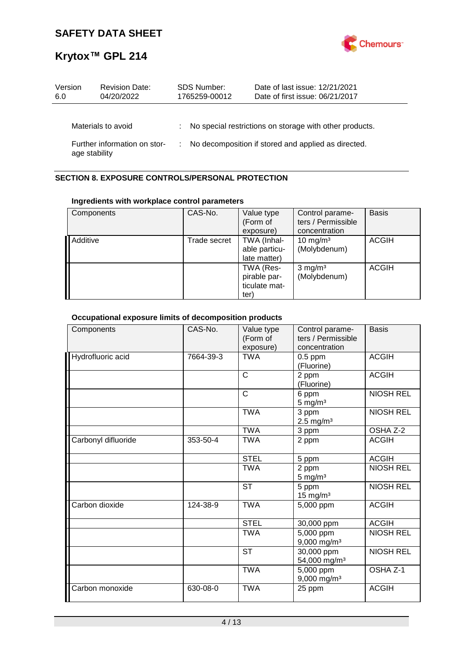

| Version<br>6.0                                | <b>Revision Date:</b><br>04/20/2022 |                                                       | <b>SDS Number:</b><br>1765259-00012 | Date of last issue: 12/21/2021<br>Date of first issue: 06/21/2017 |
|-----------------------------------------------|-------------------------------------|-------------------------------------------------------|-------------------------------------|-------------------------------------------------------------------|
|                                               | Materials to avoid                  |                                                       |                                     | : No special restrictions on storage with other products.         |
| Further information on stor-<br>age stability |                                     | : No decomposition if stored and applied as directed. |                                     |                                                                   |

## **SECTION 8. EXPOSURE CONTROLS/PERSONAL PROTECTION**

### **Ingredients with workplace control parameters**

| Components | CAS-No.      | Value type<br>(Form of<br>exposure)                | Control parame-<br>ters / Permissible<br>concentration | <b>Basis</b> |
|------------|--------------|----------------------------------------------------|--------------------------------------------------------|--------------|
| Additive   | Trade secret | TWA (Inhal-<br>able particu-<br>late matter)       | 10 mg/m $3$<br>(Molybdenum)                            | <b>ACGIH</b> |
|            |              | TWA (Res-<br>pirable par-<br>ticulate mat-<br>ter) | $3$ mg/m <sup>3</sup><br>(Molybdenum)                  | <b>ACGIH</b> |

## **Occupational exposure limits of decomposition products**

| Components          | CAS-No.   | Value type<br>(Form of<br>exposure) | Control parame-<br>ters / Permissible<br>concentration | <b>Basis</b>     |
|---------------------|-----------|-------------------------------------|--------------------------------------------------------|------------------|
| Hydrofluoric acid   | 7664-39-3 | <b>TWA</b>                          | $0.5$ ppm<br>(Fluorine)                                | <b>ACGIH</b>     |
|                     |           | $\mathsf{C}$                        | 2 ppm<br>(Fluorine)                                    | <b>ACGIH</b>     |
|                     |           | $\mathsf{C}$                        | 6 ppm<br>$5$ mg/m <sup>3</sup>                         | <b>NIOSH REL</b> |
|                     |           | <b>TWA</b>                          | 3 ppm<br>$2.5 \text{ mg/m}^3$                          | <b>NIOSH REL</b> |
|                     |           | <b>TWA</b>                          | 3 ppm                                                  | OSHA Z-2         |
| Carbonyl difluoride | 353-50-4  | <b>TWA</b>                          | 2 ppm                                                  | <b>ACGIH</b>     |
|                     |           | <b>STEL</b>                         | 5 ppm                                                  | <b>ACGIH</b>     |
|                     |           | <b>TWA</b>                          | 2 ppm<br>$5 \text{ mg/m}^3$                            | <b>NIOSH REL</b> |
|                     |           | <b>ST</b>                           | 5 ppm<br>$15$ mg/m <sup>3</sup>                        | <b>NIOSH REL</b> |
| Carbon dioxide      | 124-38-9  | <b>TWA</b>                          | 5,000 ppm                                              | <b>ACGIH</b>     |
|                     |           | <b>STEL</b>                         | 30,000 ppm                                             | <b>ACGIH</b>     |
|                     |           | <b>TWA</b>                          | 5,000 ppm<br>9,000 mg/m <sup>3</sup>                   | <b>NIOSH REL</b> |
|                     |           | <b>ST</b>                           | 30,000 ppm<br>54,000 mg/m <sup>3</sup>                 | <b>NIOSH REL</b> |
|                     |           | <b>TWA</b>                          | $\overline{5,000}$ ppm<br>9,000 mg/m <sup>3</sup>      | OSHA Z-1         |
| Carbon monoxide     | 630-08-0  | <b>TWA</b>                          | 25 ppm                                                 | <b>ACGIH</b>     |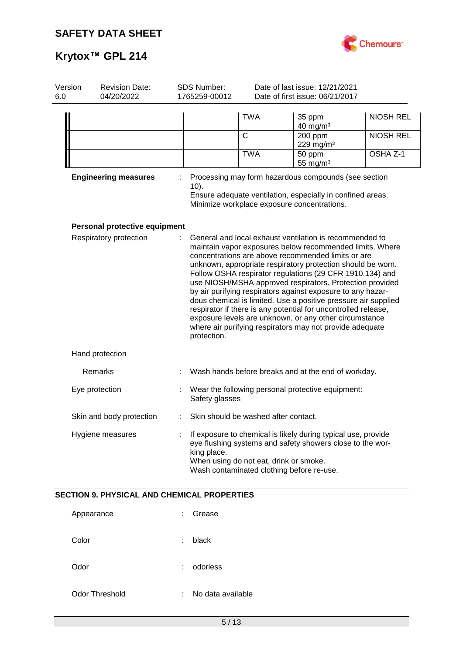

| Version<br>6.0 | <b>Revision Date:</b><br>04/20/2022                | SDS Number:<br>1765259-00012 |                                                                                     | Date of last issue: 12/21/2021<br>Date of first issue: 06/21/2017                                                                                                                                                                                                                                                                                                                                                                                                                                                                                                                                                                                                                         |                  |
|----------------|----------------------------------------------------|------------------------------|-------------------------------------------------------------------------------------|-------------------------------------------------------------------------------------------------------------------------------------------------------------------------------------------------------------------------------------------------------------------------------------------------------------------------------------------------------------------------------------------------------------------------------------------------------------------------------------------------------------------------------------------------------------------------------------------------------------------------------------------------------------------------------------------|------------------|
|                |                                                    |                              | <b>TWA</b>                                                                          | 35 ppm<br>40 mg/m <sup>3</sup>                                                                                                                                                                                                                                                                                                                                                                                                                                                                                                                                                                                                                                                            | <b>NIOSH REL</b> |
|                |                                                    |                              | $\mathsf{C}$                                                                        | 200 ppm<br>229 mg/m <sup>3</sup>                                                                                                                                                                                                                                                                                                                                                                                                                                                                                                                                                                                                                                                          | <b>NIOSH REL</b> |
|                |                                                    |                              | <b>TWA</b>                                                                          | 50 ppm<br>55 mg/ $m3$                                                                                                                                                                                                                                                                                                                                                                                                                                                                                                                                                                                                                                                                     | OSHA Z-1         |
|                | <b>Engineering measures</b>                        | $10$ ).                      |                                                                                     | Processing may form hazardous compounds (see section<br>Ensure adequate ventilation, especially in confined areas.<br>Minimize workplace exposure concentrations.                                                                                                                                                                                                                                                                                                                                                                                                                                                                                                                         |                  |
|                | Personal protective equipment                      |                              |                                                                                     |                                                                                                                                                                                                                                                                                                                                                                                                                                                                                                                                                                                                                                                                                           |                  |
|                | Respiratory protection                             | protection.                  |                                                                                     | General and local exhaust ventilation is recommended to<br>maintain vapor exposures below recommended limits. Where<br>concentrations are above recommended limits or are<br>unknown, appropriate respiratory protection should be worn.<br>Follow OSHA respirator regulations (29 CFR 1910.134) and<br>use NIOSH/MSHA approved respirators. Protection provided<br>by air purifying respirators against exposure to any hazar-<br>dous chemical is limited. Use a positive pressure air supplied<br>respirator if there is any potential for uncontrolled release,<br>exposure levels are unknown, or any other circumstance<br>where air purifying respirators may not provide adequate |                  |
|                | Hand protection                                    |                              |                                                                                     |                                                                                                                                                                                                                                                                                                                                                                                                                                                                                                                                                                                                                                                                                           |                  |
|                | Remarks                                            |                              |                                                                                     | Wash hands before breaks and at the end of workday.                                                                                                                                                                                                                                                                                                                                                                                                                                                                                                                                                                                                                                       |                  |
|                | Eye protection                                     | Safety glasses               |                                                                                     | Wear the following personal protective equipment:                                                                                                                                                                                                                                                                                                                                                                                                                                                                                                                                                                                                                                         |                  |
|                | Skin and body protection                           |                              | Skin should be washed after contact.                                                |                                                                                                                                                                                                                                                                                                                                                                                                                                                                                                                                                                                                                                                                                           |                  |
|                | Hygiene measures                                   | king place.                  | When using do not eat, drink or smoke.<br>Wash contaminated clothing before re-use. | If exposure to chemical is likely during typical use, provide<br>eye flushing systems and safety showers close to the wor-                                                                                                                                                                                                                                                                                                                                                                                                                                                                                                                                                                |                  |
|                | <b>SECTION 9. PHYSICAL AND CHEMICAL PROPERTIES</b> |                              |                                                                                     |                                                                                                                                                                                                                                                                                                                                                                                                                                                                                                                                                                                                                                                                                           |                  |
|                | Appearance                                         | Grease                       |                                                                                     |                                                                                                                                                                                                                                                                                                                                                                                                                                                                                                                                                                                                                                                                                           |                  |
|                | Color                                              | black                        |                                                                                     |                                                                                                                                                                                                                                                                                                                                                                                                                                                                                                                                                                                                                                                                                           |                  |
|                | Odor                                               | odorless                     |                                                                                     |                                                                                                                                                                                                                                                                                                                                                                                                                                                                                                                                                                                                                                                                                           |                  |
|                | Odor Threshold                                     | No data available            |                                                                                     |                                                                                                                                                                                                                                                                                                                                                                                                                                                                                                                                                                                                                                                                                           |                  |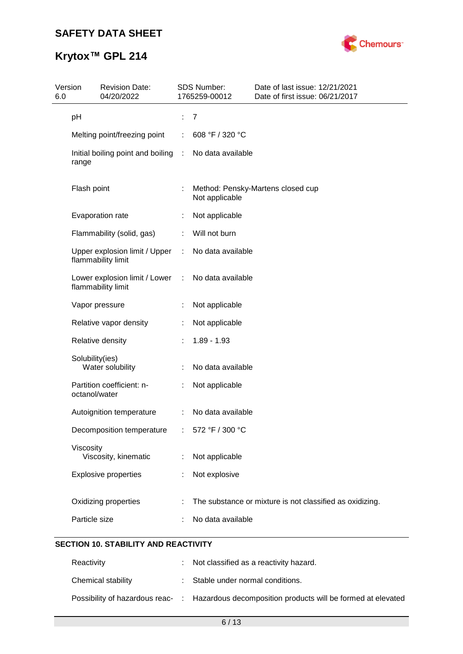

# **Krytox™ GPL 214**

| Version<br>6.0 | <b>Revision Date:</b><br>04/20/2022                   |      | <b>SDS Number:</b><br>1765259-00012 | Date of last issue: 12/21/2021<br>Date of first issue: 06/21/2017 |
|----------------|-------------------------------------------------------|------|-------------------------------------|-------------------------------------------------------------------|
|                | pH                                                    | ÷    | 7                                   |                                                                   |
|                | Melting point/freezing point                          |      | 608 °F / 320 °C                     |                                                                   |
|                | Initial boiling point and boiling<br>range            | - 11 | No data available                   |                                                                   |
|                | Flash point                                           | ÷    | Not applicable                      | Method: Pensky-Martens closed cup                                 |
|                | Evaporation rate                                      |      | Not applicable                      |                                                                   |
|                | Flammability (solid, gas)                             |      | Will not burn                       |                                                                   |
|                | Upper explosion limit / Upper :<br>flammability limit |      | No data available                   |                                                                   |
|                | Lower explosion limit / Lower<br>flammability limit   | ÷    | No data available                   |                                                                   |
|                | Vapor pressure                                        |      | Not applicable                      |                                                                   |
|                | Relative vapor density                                |      | Not applicable                      |                                                                   |
|                | Relative density                                      |      | $1.89 - 1.93$                       |                                                                   |
|                | Solubility(ies)<br>Water solubility                   |      | No data available                   |                                                                   |
|                | Partition coefficient: n-<br>octanol/water            |      | Not applicable                      |                                                                   |
|                | Autoignition temperature                              | ÷    | No data available                   |                                                                   |
|                | Decomposition temperature                             |      | 572 °F / 300 °C                     |                                                                   |
|                | Viscosity<br>Viscosity, kinematic                     |      | Not applicable                      |                                                                   |
|                | <b>Explosive properties</b>                           |      | Not explosive                       |                                                                   |
|                | Oxidizing properties                                  |      |                                     | The substance or mixture is not classified as oxidizing.          |
|                | Particle size                                         |      | No data available                   |                                                                   |
|                |                                                       |      |                                     |                                                                   |

## **SECTION 10. STABILITY AND REACTIVITY**

| Reactivity         | : Not classified as a reactivity hazard.                                                     |
|--------------------|----------------------------------------------------------------------------------------------|
| Chemical stability | : Stable under normal conditions.                                                            |
|                    | Possibility of hazardous reac- : Hazardous decomposition products will be formed at elevated |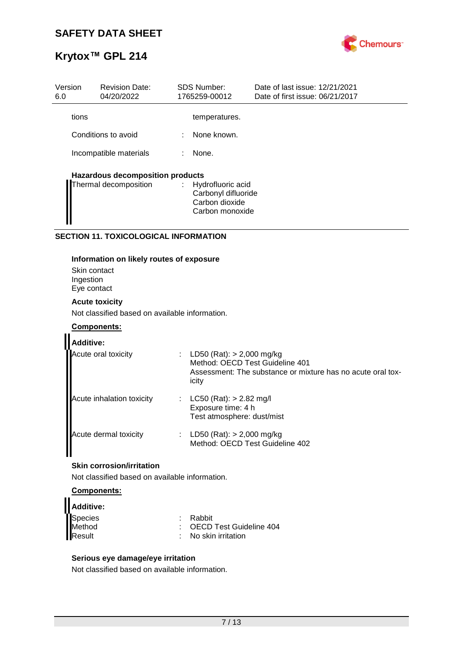

| Version<br>6.0 | <b>Revision Date:</b><br>04/20/2022     |   | <b>SDS Number:</b><br>1765259-00012                                             | Date of last issue: 12/21/2021<br>Date of first issue: 06/21/2017 |
|----------------|-----------------------------------------|---|---------------------------------------------------------------------------------|-------------------------------------------------------------------|
| tions          |                                         |   | temperatures.                                                                   |                                                                   |
|                | Conditions to avoid                     | ÷ | None known.                                                                     |                                                                   |
|                | Incompatible materials                  | ÷ | None.                                                                           |                                                                   |
|                | <b>Hazardous decomposition products</b> |   |                                                                                 |                                                                   |
|                | Thermal decomposition                   |   | : Hydrofluoric acid<br>Carbonyl difluoride<br>Carbon dioxide<br>Carbon monoxide |                                                                   |

### **SECTION 11. TOXICOLOGICAL INFORMATION**

### **Information on likely routes of exposure**

Skin contact Ingestion Eye contact

### **Acute toxicity**

Not classified based on available information.

### **Components:**

| <b>Additive:</b>          |                                                                                                                                      |
|---------------------------|--------------------------------------------------------------------------------------------------------------------------------------|
| Acute oral toxicity       | LD50 (Rat): > 2,000 mg/kg<br>Method: OECD Test Guideline 401<br>Assessment: The substance or mixture has no acute oral tox-<br>icity |
| Acute inhalation toxicity | $LC50$ (Rat): $> 2.82$ mg/l<br>Exposure time: 4 h<br>Test atmosphere: dust/mist                                                      |
| Acute dermal toxicity     | LD50 (Rat): $> 2,000$ mg/kg<br>Method: OECD Test Guideline 402                                                                       |

### **Skin corrosion/irritation**

Not classified based on available information.

### **Components:**

| Additive: |                                 |
|-----------|---------------------------------|
| Species   | : Rabbit                        |
| Method    | : OECD Test Guideline 404       |
| Result    | $\therefore$ No skin irritation |

### **Serious eye damage/eye irritation**

Not classified based on available information.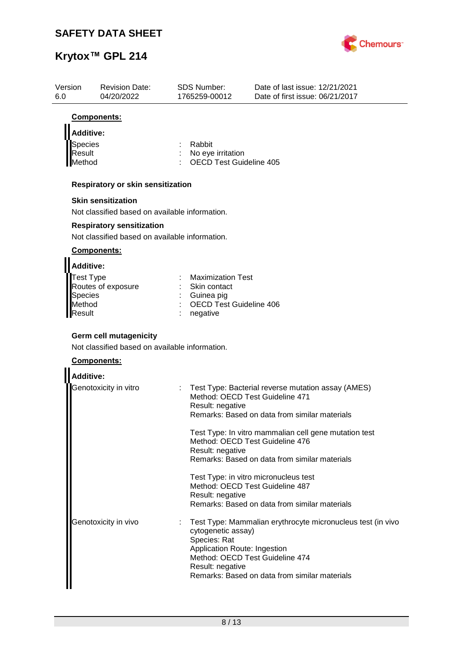

| Version<br>6.0   | <b>Revision Date:</b><br>04/20/2022            | SDS Number:<br>1765259-00012                        | Date of last issue: 12/21/2021<br>Date of first issue: 06/21/2017 |
|------------------|------------------------------------------------|-----------------------------------------------------|-------------------------------------------------------------------|
|                  | Components:                                    |                                                     |                                                                   |
| <b>Additive:</b> |                                                |                                                     |                                                                   |
| Species          |                                                | Rabbit                                              |                                                                   |
| Result<br>Method |                                                | No eye irritation<br><b>OECD Test Guideline 405</b> |                                                                   |
|                  | Respiratory or skin sensitization              |                                                     |                                                                   |
|                  | <b>Skin sensitization</b>                      |                                                     |                                                                   |
|                  | Not classified based on available information. |                                                     |                                                                   |
|                  | <b>Respiratory sensitization</b>               |                                                     |                                                                   |
|                  | Not classified based on available information. |                                                     |                                                                   |
|                  | <b>Components:</b>                             |                                                     |                                                                   |
| <b>Additive:</b> |                                                |                                                     |                                                                   |
| Test Type        | Routes of exposure                             | <b>Maximization Test</b><br>Skin contact            |                                                                   |
| <b>Species</b>   |                                                | Guinea pig                                          |                                                                   |
| Method<br>Result |                                                | <b>OECD Test Guideline 406</b><br>negative          |                                                                   |
|                  |                                                |                                                     |                                                                   |
|                  | <b>Germ cell mutagenicity</b>                  |                                                     |                                                                   |
|                  | Not classified based on available information. |                                                     |                                                                   |
|                  | Components:                                    |                                                     |                                                                   |
| <b>Additive:</b> |                                                |                                                     |                                                                   |
|                  | Genotoxicity in vitro                          |                                                     | Test Type: Bacterial reverse mutation assay (AMES)                |
|                  |                                                | Result: negative                                    | Method: OECD Test Guideline 471                                   |
|                  |                                                |                                                     | Remarks: Based on data from similar materials                     |
|                  |                                                |                                                     | Test Type: In vitro mammalian cell gene mutation test             |
|                  |                                                |                                                     | Method: OECD Test Guideline 476                                   |
|                  |                                                | Result: negative                                    | Remarks: Based on data from similar materials                     |
|                  |                                                |                                                     | Test Type: in vitro micronucleus test                             |
|                  |                                                |                                                     | Method: OECD Test Guideline 487                                   |
|                  |                                                | Result: negative                                    | Remarks: Based on data from similar materials                     |
|                  | Genotoxicity in vivo                           |                                                     | Test Type: Mammalian erythrocyte micronucleus test (in vivo       |
|                  |                                                | cytogenetic assay)<br>Species: Rat                  |                                                                   |
|                  |                                                | Application Route: Ingestion                        |                                                                   |
|                  |                                                | Result: negative                                    | Method: OECD Test Guideline 474                                   |
|                  |                                                |                                                     | Remarks: Based on data from similar materials                     |
|                  |                                                |                                                     |                                                                   |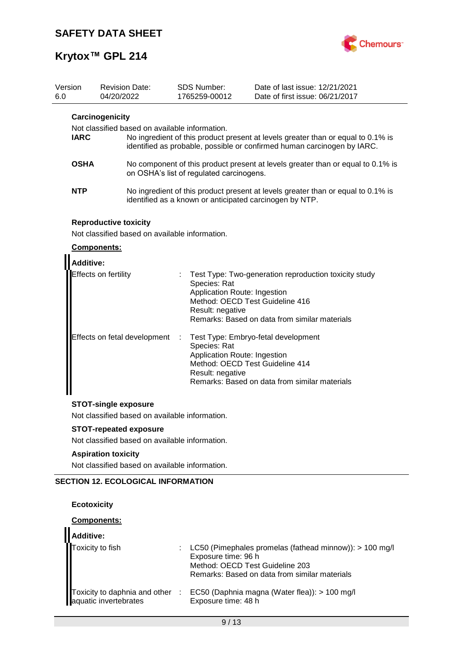

# **Krytox™ GPL 214**

| Version<br>6.0 | 04/20/2022                                                                              | <b>Revision Date:</b>                          |   | <b>SDS Number:</b><br>1765259-00012                                                                 | Date of last issue: 12/21/2021<br>Date of first issue: 06/21/2017                                                                                           |
|----------------|-----------------------------------------------------------------------------------------|------------------------------------------------|---|-----------------------------------------------------------------------------------------------------|-------------------------------------------------------------------------------------------------------------------------------------------------------------|
| <b>IARC</b>    | Carcinogenicity                                                                         | Not classified based on available information. |   |                                                                                                     | No ingredient of this product present at levels greater than or equal to 0.1% is<br>identified as probable, possible or confirmed human carcinogen by IARC. |
|                | <b>OSHA</b>                                                                             |                                                |   | on OSHA's list of regulated carcinogens.                                                            | No component of this product present at levels greater than or equal to 0.1% is                                                                             |
| NTP            |                                                                                         |                                                |   |                                                                                                     | No ingredient of this product present at levels greater than or equal to 0.1% is<br>identified as a known or anticipated carcinogen by NTP.                 |
|                | <b>Reproductive toxicity</b><br>Components:<br><b>Additive:</b><br>Effects on fertility | Not classified based on available information. |   | Species: Rat<br>Application Route: Ingestion<br>Method: OECD Test Guideline 416<br>Result: negative | Test Type: Two-generation reproduction toxicity study<br>Remarks: Based on data from similar materials                                                      |
|                |                                                                                         | Effects on fetal development                   | ÷ | Species: Rat<br>Application Route: Ingestion<br>Method: OECD Test Guideline 414<br>Result: negative | Test Type: Embryo-fetal development<br>Remarks: Based on data from similar materials                                                                        |
|                | <b>STOT-single exposure</b>                                                             |                                                |   |                                                                                                     |                                                                                                                                                             |
|                | <b>STOT-repeated exposure</b>                                                           | Not classified based on available information. |   |                                                                                                     |                                                                                                                                                             |
|                |                                                                                         | Not classified based on available information. |   |                                                                                                     |                                                                                                                                                             |

### **Aspiration toxicity**

Not classified based on available information.

## **SECTION 12. ECOLOGICAL INFORMATION**

### **Ecotoxicity**

 $\blacksquare$ 

### **Components:**

| Additive:             |                                                                                                                                                                      |
|-----------------------|----------------------------------------------------------------------------------------------------------------------------------------------------------------------|
| Toxicity to fish      | LC50 (Pimephales promelas (fathead minnow)): $> 100$ mg/l<br>Exposure time: 96 h<br>Method: OECD Test Guideline 203<br>Remarks: Based on data from similar materials |
| aquatic invertebrates | Toxicity to daphnia and other : EC50 (Daphnia magna (Water flea)): > 100 mg/l<br>Exposure time: 48 h                                                                 |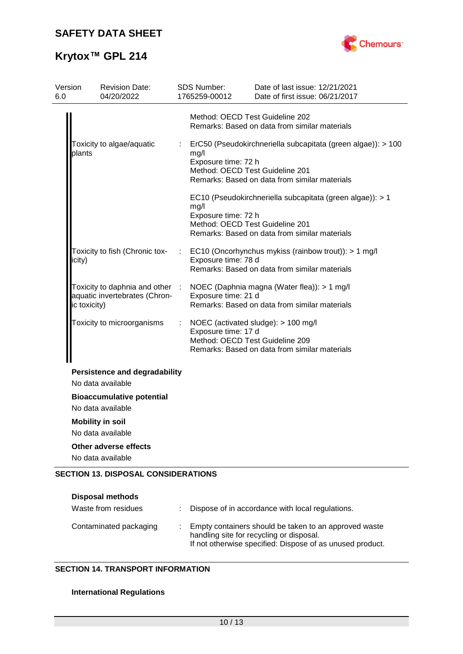

# **Krytox™ GPL 214**

| Version<br>6.0 | <b>Revision Date:</b><br>04/20/2022                                              |    | <b>SDS Number:</b><br>1765259-00012 | Date of last issue: 12/21/2021<br>Date of first issue: 06/21/2017                                                                                |
|----------------|----------------------------------------------------------------------------------|----|-------------------------------------|--------------------------------------------------------------------------------------------------------------------------------------------------|
|                |                                                                                  |    |                                     | Method: OECD Test Guideline 202<br>Remarks: Based on data from similar materials                                                                 |
|                | Toxicity to algae/aquatic<br>plants                                              | t. | mg/l<br>Exposure time: 72 h         | ErC50 (Pseudokirchneriella subcapitata (green algae)): > 100<br>Method: OECD Test Guideline 201<br>Remarks: Based on data from similar materials |
|                |                                                                                  |    | mg/l<br>Exposure time: 72 h         | EC10 (Pseudokirchneriella subcapitata (green algae)): > 1<br>Method: OECD Test Guideline 201<br>Remarks: Based on data from similar materials    |
| icity)         | Toxicity to fish (Chronic tox-                                                   |    | Exposure time: 78 d                 | EC10 (Oncorhynchus mykiss (rainbow trout)): > 1 mg/l<br>Remarks: Based on data from similar materials                                            |
|                | Toxicity to daphnia and other :<br>aquatic invertebrates (Chron-<br>ic toxicity) |    | Exposure time: 21 d                 | NOEC (Daphnia magna (Water flea)): > 1 mg/l<br>Remarks: Based on data from similar materials                                                     |
|                | Toxicity to microorganisms                                                       | ÷  | Exposure time: 17 d                 | NOEC (activated sludge): > 100 mg/l<br>Method: OECD Test Guideline 209<br>Remarks: Based on data from similar materials                          |
|                | <b>Persistence and degradability</b><br>No data available                        |    |                                     |                                                                                                                                                  |
|                | <b>Bioaccumulative potential</b><br>No data available                            |    |                                     |                                                                                                                                                  |
|                | <b>Mobility in soil</b><br>No data available                                     |    |                                     |                                                                                                                                                  |
|                | Other adverse effects<br>No data available                                       |    |                                     |                                                                                                                                                  |
|                | <b>SECTION 13. DISPOSAL CONSIDERATIONS</b>                                       |    |                                     |                                                                                                                                                  |

| Disposal methods<br>Waste from residues | Dispose of in accordance with local regulations.                                                                                                               |
|-----------------------------------------|----------------------------------------------------------------------------------------------------------------------------------------------------------------|
| Contaminated packaging                  | Empty containers should be taken to an approved waste<br>handling site for recycling or disposal.<br>If not otherwise specified: Dispose of as unused product. |

## **SECTION 14. TRANSPORT INFORMATION**

## **International Regulations**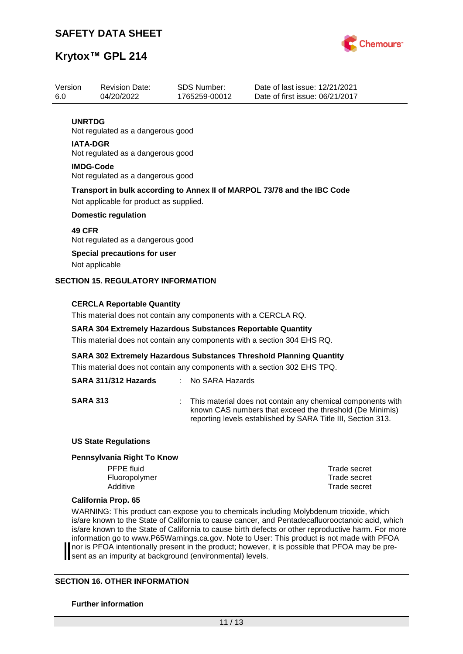

## **Krytox™ GPL 214**

| Version         | <b>Revision Date:</b>                                                    | SDS Number:   | Date of last issue: 12/21/2021  |  |  |  |  |
|-----------------|--------------------------------------------------------------------------|---------------|---------------------------------|--|--|--|--|
| 6.0             | 04/20/2022                                                               | 1765259-00012 | Date of first issue: 06/21/2017 |  |  |  |  |
|                 |                                                                          |               |                                 |  |  |  |  |
| <b>UNRTDG</b>   |                                                                          |               |                                 |  |  |  |  |
|                 | Not regulated as a dangerous good                                        |               |                                 |  |  |  |  |
| <b>IATA-DGR</b> |                                                                          |               |                                 |  |  |  |  |
|                 | Not regulated as a dangerous good                                        |               |                                 |  |  |  |  |
|                 | <b>IMDG-Code</b>                                                         |               |                                 |  |  |  |  |
|                 | Not regulated as a dangerous good                                        |               |                                 |  |  |  |  |
|                 | Transport in bulk according to Annex II of MARPOL 73/78 and the IBC Code |               |                                 |  |  |  |  |
|                 | Not applicable for product as supplied.                                  |               |                                 |  |  |  |  |
|                 | <b>Domestic regulation</b>                                               |               |                                 |  |  |  |  |
|                 |                                                                          |               |                                 |  |  |  |  |
| <b>49 CFR</b>   |                                                                          |               |                                 |  |  |  |  |
|                 | Not regulated as a dangerous good                                        |               |                                 |  |  |  |  |
|                 | <b>Special precautions for user</b>                                      |               |                                 |  |  |  |  |
|                 | Not applicable                                                           |               |                                 |  |  |  |  |
|                 | <b>SECTION 15. REGULATORY INFORMATION</b>                                |               |                                 |  |  |  |  |
|                 |                                                                          |               |                                 |  |  |  |  |
|                 |                                                                          |               |                                 |  |  |  |  |

### **CERCLA Reportable Quantity**

This material does not contain any components with a CERCLA RQ.

#### **SARA 304 Extremely Hazardous Substances Reportable Quantity**

This material does not contain any components with a section 304 EHS RQ.

**SARA 302 Extremely Hazardous Substances Threshold Planning Quantity**

This material does not contain any components with a section 302 EHS TPQ.

## **SARA 311/312 Hazards** : No SARA Hazards

**SARA 313** : This material does not contain any chemical components with known CAS numbers that exceed the threshold (De Minimis) reporting levels established by SARA Title III, Section 313.

#### **US State Regulations**

#### **Pennsylvania Right To Know**

PFPE fluid Trade secret Fluoropolymer Trade secret Additive **Trade secret** 

#### **California Prop. 65**

WARNING: This product can expose you to chemicals including Molybdenum trioxide, which is/are known to the State of California to cause cancer, and Pentadecafluorooctanoic acid, which is/are known to the State of California to cause birth defects or other reproductive harm. For more information go to www.P65Warnings.ca.gov. Note to User: This product is not made with PFOA nor is PFOA intentionally present in the product; however, it is possible that PFOA may be present as an impurity at background (environmental) levels.

#### **SECTION 16. OTHER INFORMATION**

#### **Further information**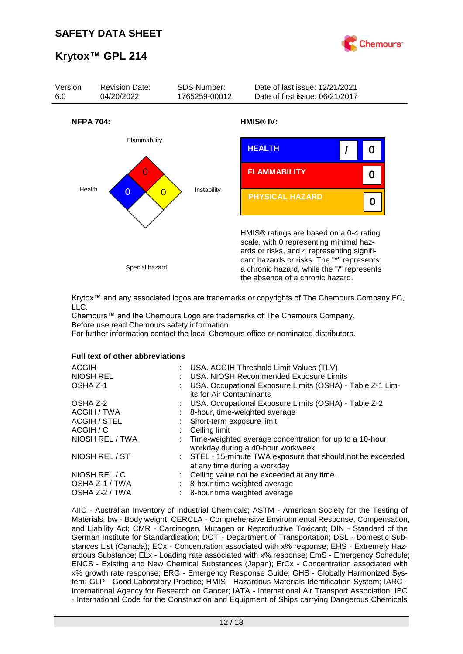



Krytox™ and any associated logos are trademarks or copyrights of The Chemours Company FC, LLC.

Chemours™ and the Chemours Logo are trademarks of The Chemours Company. Before use read Chemours safety information.

For further information contact the local Chemours office or nominated distributors.

#### **Full text of other abbreviations**

| <b>ACGIH</b><br>: USA. ACGIH Threshold Limit Values (TLV)<br>NIOSH REL<br>: USA. NIOSH Recommended Exposure Limits<br>USA. Occupational Exposure Limits (OSHA) - Table Z-1 Lim-<br>OSHA Z-1<br>its for Air Contaminants |  |
|-------------------------------------------------------------------------------------------------------------------------------------------------------------------------------------------------------------------------|--|
| : USA. Occupational Exposure Limits (OSHA) - Table Z-2<br>OSHA Z-2                                                                                                                                                      |  |
| ACGIH / TWA<br>8-hour, time-weighted average                                                                                                                                                                            |  |
| <b>ACGIH / STEL</b><br>: Short-term exposure limit                                                                                                                                                                      |  |
| ACGIH / C<br>Ceiling limit                                                                                                                                                                                              |  |
| NIOSH REL / TWA<br>: Time-weighted average concentration for up to a 10-hour<br>workday during a 40-hour workweek                                                                                                       |  |
| NIOSH REL / ST<br>: STEL - 15-minute TWA exposure that should not be exceeded<br>at any time during a workday                                                                                                           |  |
| NIOSH REL / C<br>: Ceiling value not be exceeded at any time.                                                                                                                                                           |  |
| OSHA Z-1 / TWA<br>8-hour time weighted average                                                                                                                                                                          |  |
| OSHA Z-2 / TWA<br>8-hour time weighted average                                                                                                                                                                          |  |

AIIC - Australian Inventory of Industrial Chemicals; ASTM - American Society for the Testing of Materials; bw - Body weight; CERCLA - Comprehensive Environmental Response, Compensation, and Liability Act; CMR - Carcinogen, Mutagen or Reproductive Toxicant; DIN - Standard of the German Institute for Standardisation; DOT - Department of Transportation; DSL - Domestic Substances List (Canada); ECx - Concentration associated with x% response; EHS - Extremely Hazardous Substance; ELx - Loading rate associated with x% response; EmS - Emergency Schedule; ENCS - Existing and New Chemical Substances (Japan); ErCx - Concentration associated with x% growth rate response; ERG - Emergency Response Guide; GHS - Globally Harmonized System; GLP - Good Laboratory Practice; HMIS - Hazardous Materials Identification System; IARC - International Agency for Research on Cancer; IATA - International Air Transport Association; IBC - International Code for the Construction and Equipment of Ships carrying Dangerous Chemicals